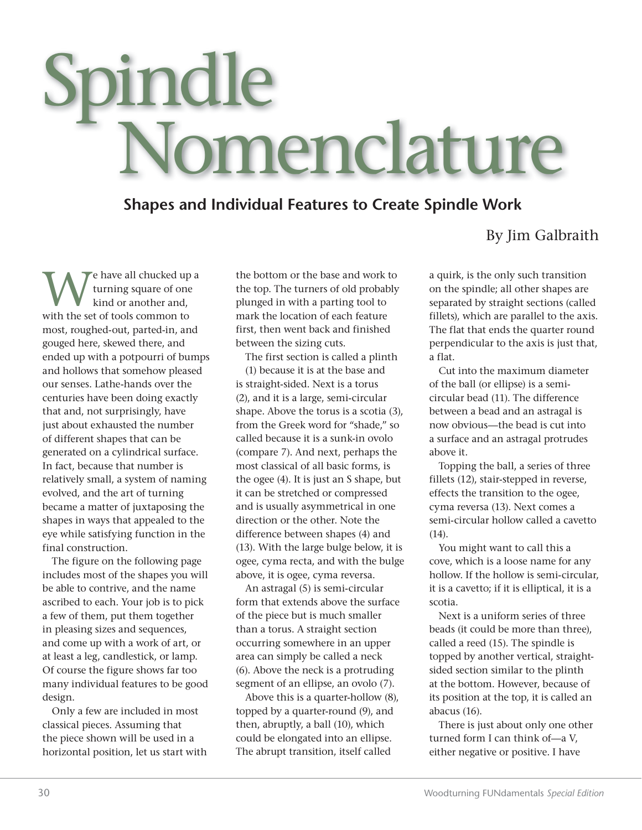## Spindle Nomenclature

## **Shapes and Individual Features to Create Spindle Work**

## By Jim Galbraith

We have all chucked up a<br>turning square of one<br>with the set of tools common to turning square of one kind or another and, with the set of tools common to most, roughed-out, parted-in, and gouged here, skewed there, and ended up with a potpourri of bumps and hollows that somehow pleased our senses. Lathe-hands over the centuries have been doing exactly that and, not surprisingly, have just about exhausted the number of different shapes that can be generated on a cylindrical surface. In fact, because that number is relatively small, a system of naming evolved, and the art of turning became a matter of juxtaposing the shapes in ways that appealed to the eye while satisfying function in the final construction.

The figure on the following page includes most of the shapes you will be able to contrive, and the name ascribed to each. Your job is to pick a few of them, put them together in pleasing sizes and sequences, and come up with a work of art, or at least a leg, candlestick, or lamp. Of course the figure shows far too many individual features to be good design.

Only a few are included in most classical pieces. Assuming that the piece shown will be used in a horizontal position, let us start with the bottom or the base and work to the top. The turners of old probably plunged in with a parting tool to mark the location of each feature first, then went back and finished between the sizing cuts.

The first section is called a plinth (1) because it is at the base and is straight-sided. Next is a torus (2), and it is a large, semi-circular shape. Above the torus is a scotia (3), from the Greek word for "shade," so called because it is a sunk-in ovolo (compare 7). And next, perhaps the most classical of all basic forms, is the ogee (4). It is just an S shape, but it can be stretched or compressed and is usually asymmetrical in one direction or the other. Note the difference between shapes (4) and (13). With the large bulge below, it is ogee, cyma recta, and with the bulge above, it is ogee, cyma reversa.

An astragal (5) is semi-circular form that extends above the surface of the piece but is much smaller than a torus. A straight section occurring somewhere in an upper area can simply be called a neck (6). Above the neck is a protruding segment of an ellipse, an ovolo (7).

Above this is a quarter-hollow (8), topped by a quarter-round (9), and then, abruptly, a ball (10), which could be elongated into an ellipse. The abrupt transition, itself called

a quirk, is the only such transition on the spindle; all other shapes are separated by straight sections (called fillets), which are parallel to the axis. The flat that ends the quarter round perpendicular to the axis is just that, a flat.

Cut into the maximum diameter of the ball (or ellipse) is a semicircular bead (11). The difference between a bead and an astragal is now obvious—the bead is cut into a surface and an astragal protrudes above it.

Topping the ball, a series of three fillets (12), stair-stepped in reverse, effects the transition to the ogee, cyma reversa (13). Next comes a semi-circular hollow called a cavetto (14).

You might want to call this a cove, which is a loose name for any hollow. If the hollow is semi-circular, it is a cavetto; if it is elliptical, it is a scotia.

Next is a uniform series of three beads (it could be more than three), called a reed (15). The spindle is topped by another vertical, straightsided section similar to the plinth at the bottom. However, because of its position at the top, it is called an abacus (16).

There is just about only one other turned form I can think of—a V, either negative or positive. I have